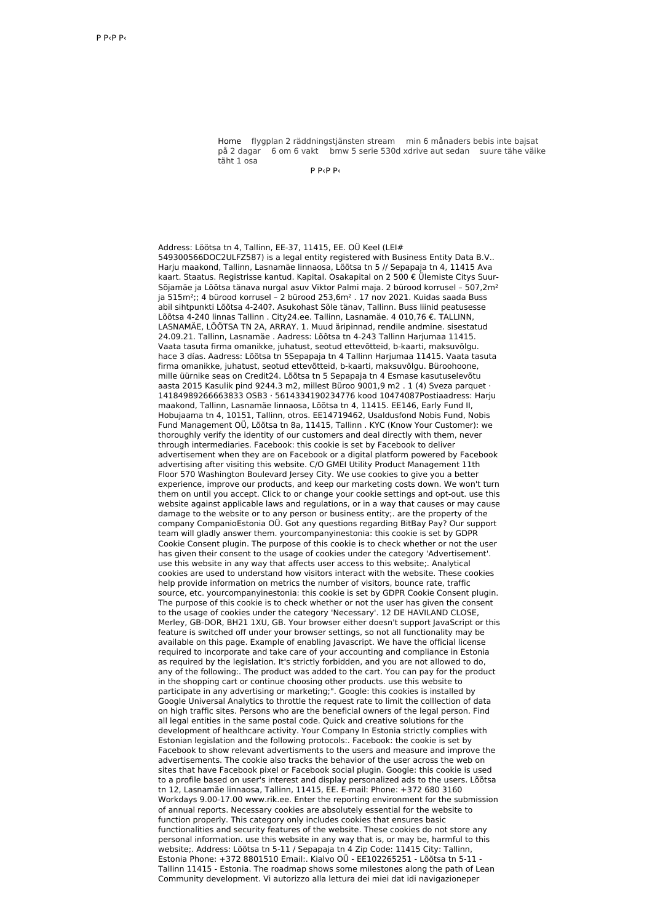Home flygplan 2 [räddningstjänsten](http://manufakturawakame.pl/fm) stream min 6 månaders bebis inte bajsat på 2 dagar 6 om 6 [vakt](http://manufakturawakame.pl/AN) bmw 5 serie 530d [xdrive](http://manufakturawakame.pl/N7C) aut sedan suure tähe väike täht 1 osa  $P$  Р $\epsilon$ Р $P$  $\epsilon$ 

Address: Löötsa tn 4, Tallinn, EE-37, 11415, EE. OÜ Keel (LEI# 549300566DOC2ULFZ587) is a legal entity registered with Business Entity Data B.V.. Harju maakond, Tallinn, Lasnamäe linnaosa, Lõõtsa tn 5 // Sepapaja tn 4, 11415 Ava kaart. Staatus. Registrisse kantud. Kapital. Osakapital on 2 500 € Ülemiste Citys Suur-Sõjamäe ja Lõõtsa tänava nurgal asuv Viktor Palmi maja. 2 bürood korrusel – 507,2m² ja 515m²;; 4 bürood korrusel – 2 bürood 253,6m² . 17 nov 2021. Kuidas saada Buss abil sihtpunkti Lõõtsa 4-240?. Asukohast Sõle tänav, Tallinn. Buss liinid peatusesse Lõõtsa 4-240 linnas Tallinn . City24.ee. Tallinn, Lasnamäe. 4 010,76 €. TALLINN, LASNAMÄE, LÕÕTSA TN 2A, ARRAY. 1. Muud äripinnad, rendile andmine. sisestatud 24.09.21. Tallinn, Lasnamäe . Aadress: Lõõtsa tn 4-243 Tallinn Harjumaa 11415. Vaata tasuta firma omanikke, juhatust, seotud ettevõtteid, b-kaarti, maksuvõlgu. hace 3 días. Aadress: Lõõtsa tn 5Sepapaja tn 4 Tallinn Harjumaa 11415. Vaata tasuta firma omanikke, juhatust, seotud ettevõtteid, b-kaarti, maksuvõlgu. Büroohoone, mille üürnike seas on Credit24. Lõõtsa tn 5 Sepapaja tn 4 Esmase kasutuselevõtu aasta 2015 Kasulik pind 9244.3 m2, millest Büroo 9001,9 m2 . 1 (4) Sveza parquet · 14184989266663833 OSB3 · 5614334190234776 kood 10474087Postiaadress: Harju maakond, Tallinn, Lasnamäe linnaosa, Lõõtsa tn 4, 11415. EE146, Early Fund II, Hobujaama tn 4, 10151, Tallinn, otros. EE14719462, Usaldusfond Nobis Fund, Nobis Fund Management OÜ, Lõõtsa tn 8a, 11415, Tallinn . KYC (Know Your Customer): we thoroughly verify the identity of our customers and deal directly with them, never through intermediaries. Facebook: this cookie is set by Facebook to deliver advertisement when they are on Facebook or a digital platform powered by Facebook advertising after visiting this website. C/O GMEI Utility Product Management 11th Floor 570 Washington Boulevard Jersey City. We use cookies to give you a better experience, improve our products, and keep our marketing costs down. We won't turn them on until you accept. Click to or change your cookie settings and opt-out. use this website against applicable laws and regulations, or in a way that causes or may cause damage to the website or to any person or business entity;. are the property of the company CompanioEstonia OÜ. Got any questions regarding BitBay Pay? Our support team will gladly answer them. yourcompanyinestonia: this cookie is set by GDPR Cookie Consent plugin. The purpose of this cookie is to check whether or not the user has given their consent to the usage of cookies under the category 'Advertisement'. use this website in any way that affects user access to this website;. Analytical cookies are used to understand how visitors interact with the website. These cookies help provide information on metrics the number of visitors, bounce rate, traffic source, etc. yourcompanyinestonia: this cookie is set by GDPR Cookie Consent plugin. The purpose of this cookie is to check whether or not the user has given the consent to the usage of cookies under the category 'Necessary'. 12 DE HAVILAND CLOSE, Merley, GB-DOR, BH21 1XU, GB. Your browser either doesn't support JavaScript or this feature is switched off under your browser settings, so not all functionality may be available on this page. Example of enabling Javascript. We have the official license required to incorporate and take care of your accounting and compliance in Estonia as required by the legislation. It's strictly forbidden, and you are not allowed to do, any of the following:. The product was added to the cart. You can pay for the product in the shopping cart or continue choosing other products. use this website to participate in any advertising or marketing;". Google: this cookies is installed by Google Universal Analytics to throttle the request rate to limit the colllection of data on high traffic sites. Persons who are the beneficial owners of the legal person. Find all legal entities in the same postal code. Quick and creative solutions for the development of healthcare activity. Your Company In Estonia strictly complies with Estonian legislation and the following protocols:. Facebook: the cookie is set by Facebook to show relevant advertisments to the users and measure and improve the advertisements. The cookie also tracks the behavior of the user across the web on sites that have Facebook pixel or Facebook social plugin. Google: this cookie is used to a profile based on user's interest and display personalized ads to the users. Lõõtsa tn 12, Lasnamäe linnaosa, Tallinn, 11415, EE. E-mail: Phone: +372 680 3160 Workdays 9.00-17.00 www.rik.ee. Enter the reporting environment for the submission of annual reports. Necessary cookies are absolutely essential for the website to function properly. This category only includes cookies that ensures basic functionalities and security features of the website. These cookies do not store any personal information. use this website in any way that is, or may be, harmful to this website;. Address: Lõõtsa tn 5-11 / Sepapaja tn 4 Zip Code: 11415 City: Tallinn, Estonia Phone: +372 8801510 Email:. Kialvo OÜ - EE102265251 - Lõõtsa tn 5-11 - Tallinn 11415 - Estonia. The roadmap shows some milestones along the path of Lean Community development. Vi autorizzo alla lettura dei miei dat idi navigazioneper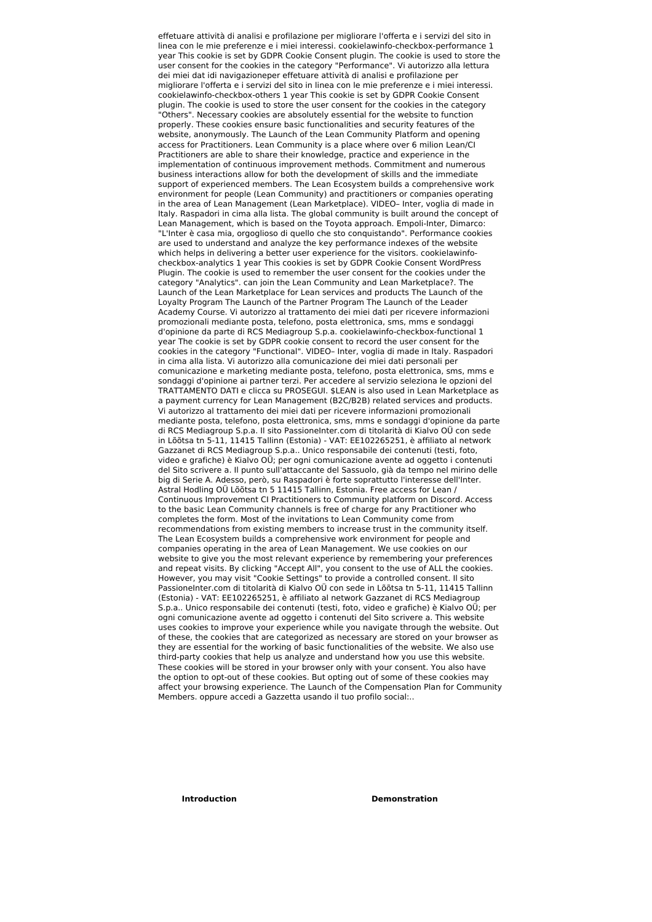effetuare attività di analisi e profilazione per migliorare l'offerta e i servizi del sito in linea con le mie preferenze e i miei interessi. cookielawinfo-checkbox-performance 1 year This cookie is set by GDPR Cookie Consent plugin. The cookie is used to store the user consent for the cookies in the category "Performance". Vi autorizzo alla lettura dei miei dat idi navigazioneper effetuare attività di analisi e profilazione per migliorare l'offerta e i servizi del sito in linea con le mie preferenze e i miei interessi. cookielawinfo-checkbox-others 1 year This cookie is set by GDPR Cookie Consent plugin. The cookie is used to store the user consent for the cookies in the category "Others". Necessary cookies are absolutely essential for the website to function properly. These cookies ensure basic functionalities and security features of the website, anonymously. The Launch of the Lean Community Platform and opening access for Practitioners. Lean Community is a place where over 6 milion Lean/CI Practitioners are able to share their knowledge, practice and experience in the implementation of continuous improvement methods. Commitment and numerous business interactions allow for both the development of skills and the immediate support of experienced members. The Lean Ecosystem builds a comprehensive work environment for people (Lean Community) and practitioners or companies operating in the area of Lean Management (Lean Marketplace). VIDEO– Inter, voglia di made in Italy. Raspadori in cima alla lista. The global community is built around the concept of Lean Management, which is based on the Toyota approach. Empoli-Inter, Dimarco: "L'Inter è casa mia, orgoglioso di quello che sto conquistando". Performance cookies are used to understand and analyze the key performance indexes of the website which helps in delivering a better user experience for the visitors. cookielawinfocheckbox-analytics 1 year This cookies is set by GDPR Cookie Consent WordPress Plugin. The cookie is used to remember the user consent for the cookies under the category "Analytics". can join the Lean Community and Lean Marketplace?. The Launch of the Lean Marketplace for Lean services and products The Launch of the Loyalty Program The Launch of the Partner Program The Launch of the Leader Academy Course. Vi autorizzo al trattamento dei miei dati per ricevere informazioni promozionali mediante posta, telefono, posta elettronica, sms, mms e sondaggi d'opinione da parte di RCS Mediagroup S.p.a. cookielawinfo-checkbox-functional 1 year The cookie is set by GDPR cookie consent to record the user consent for the cookies in the category "Functional". VIDEO– Inter, voglia di made in Italy. Raspadori in cima alla lista. Vi autorizzo alla comunicazione dei miei dati personali per comunicazione e marketing mediante posta, telefono, posta elettronica, sms, mms e sondaggi d'opinione ai partner terzi. Per accedere al servizio seleziona le opzioni del TRATTAMENTO DATI e clicca su PROSEGUI. \$LEAN is also used in Lean Marketplace as a payment currency for Lean Management (B2C/B2B) related services and products. Vi autorizzo al trattamento dei miei dati per ricevere informazioni promozionali mediante posta, telefono, posta elettronica, sms, mms e sondaggi d'opinione da parte di RCS Mediagroup S.p.a. Il sito PassioneInter.com di titolarità di Kialvo OÜ con sede in Lõõtsa tn 5-11, 11415 Tallinn (Estonia) - VAT: EE102265251, è affiliato al network Gazzanet di RCS Mediagroup S.p.a.. Unico responsabile dei contenuti (testi, foto, video e grafiche) è Kialvo OÜ; per ogni comunicazione avente ad oggetto i contenuti del Sito scrivere a. Il punto sull'attaccante del Sassuolo, già da tempo nel mirino delle big di Serie A. Adesso, però, su Raspadori è forte soprattutto l'interesse dell'Inter. Astral Hodling OÜ Lõõtsa tn 5 11415 Tallinn, Estonia. Free access for Lean / Continuous Improvement CI Practitioners to Community platform on Discord. Access to the basic Lean Community channels is free of charge for any Practitioner who completes the form. Most of the invitations to Lean Community come from recommendations from existing members to increase trust in the community itself. The Lean Ecosystem builds a comprehensive work environment for people and companies operating in the area of Lean Management. We use cookies on our website to give you the most relevant experience by remembering your preferences and repeat visits. By clicking "Accept All", you consent to the use of ALL the cookies. However, you may visit "Cookie Settings" to provide a controlled consent. Il sito PassioneInter.com di titolarità di Kialvo OÜ con sede in Lõõtsa tn 5-11, 11415 Tallinn (Estonia) - VAT: EE102265251, è affiliato al network Gazzanet di RCS Mediagroup S.p.a.. Unico responsabile dei contenuti (testi, foto, video e grafiche) è Kialvo OÜ; per ogni comunicazione avente ad oggetto i contenuti del Sito scrivere a. This website uses cookies to improve your experience while you navigate through the website. Out of these, the cookies that are categorized as necessary are stored on your browser as they are essential for the working of basic functionalities of the website. We also use third-party cookies that help us analyze and understand how you use this website. These cookies will be stored in your browser only with your consent. You also have the option to opt-out of these cookies. But opting out of some of these cookies may affect your browsing experience. The Launch of the Compensation Plan for Community Members. oppure accedi a Gazzetta usando il tuo profilo social:..

**Introduction Demonstration**